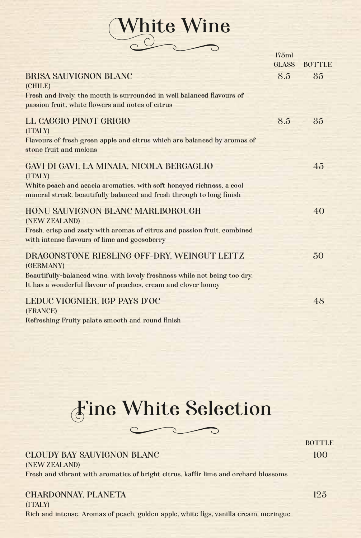White Wine

|                                                                                                                                               | 175ml        |               |
|-----------------------------------------------------------------------------------------------------------------------------------------------|--------------|---------------|
|                                                                                                                                               | <b>GLASS</b> | <b>BOTTLE</b> |
| <b>BRISA SAUVIGNON BLANC</b><br>(CHILE)<br>Fresh and lively, the mouth is surrounded in well balanced flavours of                             | 8.5          | 35            |
| passion fruit, white flowers and notes of citrus                                                                                              |              |               |
| LL CAGGIO PINOT GRIGIO<br>(ITALY)                                                                                                             | 8.5          | 35            |
| Flavours of fresh green apple and citrus which are balanced by aromas of<br>stone fruit and melons                                            |              |               |
| GAVI DI GAVI, LA MINAIA, NICOLA BERGAGLIO<br>(ITALY)                                                                                          |              | 45            |
| White peach and acacia aromatics, with soft honeyed richness, a cool<br>mineral streak, beautifully balanced and fresh through to long finish |              |               |
| HONU SAUVIGNON BLANC MARLBOROUGH<br>(NEW ZEALAND)<br>Fresh, crisp and zesty with aromas of citrus and passion fruit, combined                 |              | 40            |
| with intense flavours of lime and gooseberry                                                                                                  |              |               |
| DRAGONSTONE RIESLING OFF-DRY, WEINGUT LEITZ<br>(GERMANY)                                                                                      |              | 50            |
| Beautifully-balanced wine, with lovely freshness while not being too dry.<br>It has a wonderful flavour of peaches, cream and clover honey    |              |               |
| LEDUC VIOGNIER, IGP PAYS D'OC<br>(FRANCE)                                                                                                     |              | 48            |
| Refreshing Fruity palate smooth and round finish                                                                                              |              |               |

## Fine White Selection

|                                                                                     | <b>BOTTLE</b> |
|-------------------------------------------------------------------------------------|---------------|
| <b>CLOUDY BAY SAUVIGNON BLANC</b>                                                   | 100           |
| (NEW ZEALAND)                                                                       |               |
| Fresh and vibrant with aromatics of bright citrus, kaffir lime and orchard blossoms |               |
|                                                                                     |               |
| <b>CHARDONNAY, PLANETA</b>                                                          | 125           |
| (ITALY)                                                                             |               |
|                                                                                     |               |

Rich and intense. Aromas of peach, golden apple, white figs, vanilla cream, meringue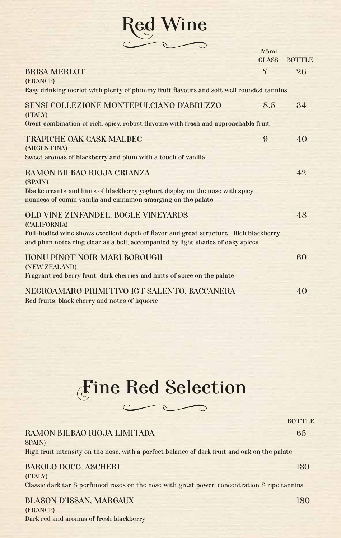

|                                                                                                                                                                          | 175ml                  |                     |
|--------------------------------------------------------------------------------------------------------------------------------------------------------------------------|------------------------|---------------------|
| <b>BRISA MERLOT</b><br>(FRANCE)                                                                                                                                          | GLASS<br>$\mathcal{T}$ | <b>BOTTLE</b><br>26 |
| Easy drinking merlot with plenty of plummy fruit flavours and soft well rounded tannins                                                                                  |                        |                     |
| SENSI COLLEZIONE MONTEPULCIANO D'ABRUZZO<br>(ITALY)                                                                                                                      | 8.5                    | 34                  |
| Great combination of rich, spicy, robust flavours with fresh and approachable fruit                                                                                      |                        |                     |
| TRAPICHE OAK CASK MALBEC<br>(ARGENTINA)                                                                                                                                  | 9                      | 40                  |
| Sweet aromas of blackberry and plum with a touch of vanilla                                                                                                              |                        |                     |
| RAMON BILBAO RIOJA CRIANZA<br>(SPAIN)                                                                                                                                    |                        | 42                  |
| Blackcurrants and hints of blackberry yoghurt display on the nose with spicy<br>nuances of cumin vanilla and cinnamon emerging on the palate                             |                        |                     |
| OLD VINE ZINFANDEL, BOGLE VINEYARDS<br>(CALIFORNIA)                                                                                                                      |                        | 48                  |
| Full-bodied wine shows excellent depth of flavor and great structure. Rich blackberry<br>and plum notes ring clear as a bell, accompanied by light shades of oaky spices |                        |                     |
| HONU PINOT NOIR MARLBOROUGH<br>(NEW ZEALAND)                                                                                                                             |                        | 60                  |
| Fragrant red berry fruit, dark cherries and hints of spice on the palate                                                                                                 |                        |                     |
| NEGROAMARO PRIMITIVO IGT SALENTO, BACCANERA<br>Red fruits, black cherry and notes of liquoric                                                                            |                        | 40                  |



|                                                                                                            | <b>BOTTLE</b> |
|------------------------------------------------------------------------------------------------------------|---------------|
| RAMON BILBAO RIOJA LIMITADA                                                                                | 65            |
| <b>SPAIN</b> )                                                                                             |               |
| High fruit intensity on the nose, with a perfect balance of dark fruit and oak on the palate               |               |
|                                                                                                            |               |
| <b>BAROLO DOCG, ASCHERI</b>                                                                                | 130           |
| (ITALY)                                                                                                    |               |
| Classic dark tar $\delta$ perfumed roses on the nose with great power, concentration $\delta$ ripe tanning |               |
| <b>BLASON D'ISSAN, MARGAUX</b>                                                                             | 180           |
| (FRANCE)                                                                                                   |               |
|                                                                                                            |               |

Dark red and aromas of fresh blackberry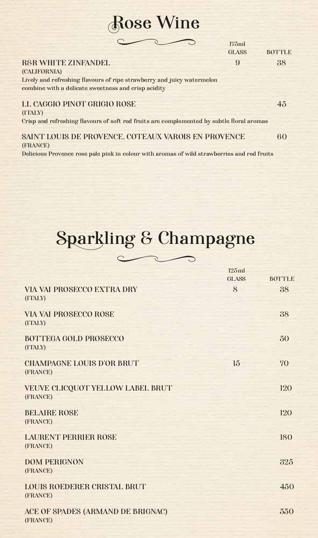## Rose Wine

|                                                                                           | 175ml        |               |
|-------------------------------------------------------------------------------------------|--------------|---------------|
|                                                                                           | <b>GLASS</b> | <b>BOTTLE</b> |
| <b>R&amp;R WHITE ZINFANDEL</b>                                                            | 9            | 38            |
| (CALIFORNIA)                                                                              |              |               |
| Lively and refreshing flavours of ripe strawberry and juicy watermelon                    |              |               |
| combine with a delicate sweetness and crisp acidity                                       |              |               |
|                                                                                           |              |               |
| LL CAGGIO PINOT GRIGIO ROSE                                                               |              | 45            |
| (ITALY)                                                                                   |              |               |
| Crisp and refreshing flavours of soft red fruits are complemented by subtle floral aromas |              |               |
|                                                                                           |              |               |
| SAINT LOUIS DE PROVENCE, COTEAUX VAROIS EN PROVENCE                                       |              | 60            |
| (FRANCE)                                                                                  |              |               |

Delicious Provence rose pale pink in colour with aromas of wild strawberries and red fruits

# Sparkling & Champagne

⇁

|                                               | 125ml<br>GLASS | <b>BOTTLE</b> |
|-----------------------------------------------|----------------|---------------|
| <b>VIA VAI PROSECCO EXTRA DRY</b><br>(ITALY)  | 8              | 38            |
| <b>VIA VAI PROSECCO ROSE</b><br>(ITALY)       |                | 38            |
| <b>BOTTEGA GOLD PROSECCO</b><br>(ITALY)       |                | 50            |
| <b>CHAMPAGNE LOUIS D'OR BRUT</b><br>(FRANCE)  | 15             | 70            |
| VEUVE CLICQUOT YELLOW LABEL BRUT<br>(FRANCE)  |                | 120           |
| <b>BELAIRE ROSE</b><br>(FRANCE)               |                | 120           |
| <b>LAURENT PERRIER ROSE</b><br>(FRANCE)       |                | 180           |
| <b>DOM PERIGNON</b><br>(FRANCE)               |                | 325           |
| LOUIS ROEDERER CRISTAL BRUT<br>(FRANCE)       |                | 450           |
| ACE OF SPADES (ARMAND DE BRIGNAC)<br>(FRANCE) |                | 550           |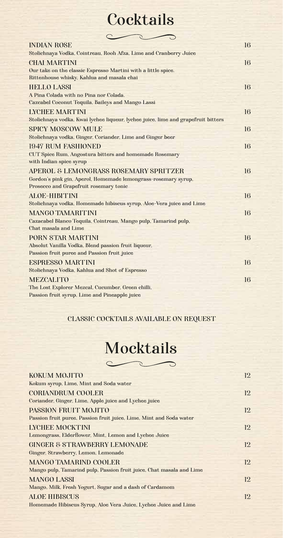## **Cocktails**

| <b>INDIAN ROSE</b>                                                                | 16 |
|-----------------------------------------------------------------------------------|----|
| Stolichnaya Vodka, Cointreau, Rooh Afza, Lime and Cranberry Juice                 |    |
| <b>CHAI MARTINI</b>                                                               | 16 |
| Our take on the classic Espresso Martini with a little spice.                     |    |
| Rittenhouse whisky, Kahlua and masala chai                                        |    |
| <b>HELLO LASSI</b>                                                                | 16 |
| A Pina Colada with no Pina nor Colada.                                            |    |
| Cazcabel Coconut Tequila, Baileys and Mango Lassi                                 |    |
| <b>LYCHEE MARTINI</b>                                                             | 16 |
| Stolichnaya vodka, Kwai lychee liqueur, lychee juice, lime and grapefruit bitters |    |
| <b>SPICY MOSCOW MULE</b>                                                          | 16 |
| Stolichnaya vodka, Ginger, Coriander, Lime and Ginger beer                        |    |
| <b>1947 RUM FASHIONED</b>                                                         | 16 |
| <b>CUT Spice Rum, Angostura bitters and homemade Rosemary</b>                     |    |
| with Indian spice syrup                                                           |    |
| APEROL & LEMONGRASS ROSEMARY SPRITZER                                             | 16 |
| Gordon's pink gin, Aperol, Homemade lemongrass-rosemary syrup,                    |    |
| Prosecco and Grapefruit rosemary tonic                                            |    |
| ALOE-HIBITINI                                                                     | 16 |
| Stolichnaya vodka, Homemade hibiscus syrup, Aloe-Vera juice and Lime              |    |
| <b>MANGO TAMARITINI</b>                                                           | 16 |
| Cazacabel Blanco Tequila, Cointreau, Mango pulp, Tamarind pulp,                   |    |
| Chat masala and Lime                                                              |    |
| <b>PORN STAR MARTINI</b>                                                          | 16 |
| Absolut Vanilla Vodka, Blend passion fruit liqueur,                               |    |
| Passion fruit puree and Passion fruit juice                                       |    |
| <b>ESPRESSO MARTINI</b>                                                           | 16 |
| Stolichnaya Vodka, Kahlua and Shot of Espresso                                    |    |
| <b>MEZCALITO</b>                                                                  | 16 |
| The Lost Explorer Mezcal, Cucumber, Green chilli,                                 |    |
| Passion fruit syrup, Lime and Pineapple juice                                     |    |

#### CLASSIC COCKTAILS AVAILABLE ON REQUEST

# **Mocktails**

| <b>KOKUM MOJITO</b>                                                  | 12. |
|----------------------------------------------------------------------|-----|
| Kokum syrup, Lime, Mint and Soda water                               |     |
| <b>CORIANDRUM COOLER</b>                                             | 12  |
| Coriander, Ginger, Lime, Apple juice and Lychee juice                |     |
| PASSION FRUIT MOJITO                                                 | 12  |
| Passion fruit puree, Passion fruit juice, Lime, Mint and Soda water  |     |
| <b>LYCHEE MOCKTINI</b>                                               | 12  |
| Lemongrass, Elderflower, Mint, Lemon and Lychee Juice                |     |
| <b>GINGER &amp; STRAWBERRY LEMONADE</b>                              | 12  |
| Ginger, Strawberry, Lemon, Lemonade                                  |     |
| <b>MANGO TAMARIND COOLER</b>                                         | 12  |
| Mango pulp, Tamarind pulp, Passion fruit juice, Chat masala and Lime |     |
| <b>MANGO LASSI</b>                                                   | 12  |
| Mango, Milk, Fresh Yogurt, Sugar and a dash of Cardamom              |     |
| <b>ALOE HIBISCUS</b>                                                 | 12. |
| Homemade Hibiscus Syrup, Aloe Vera Juice, Lychee Juice and Lime      |     |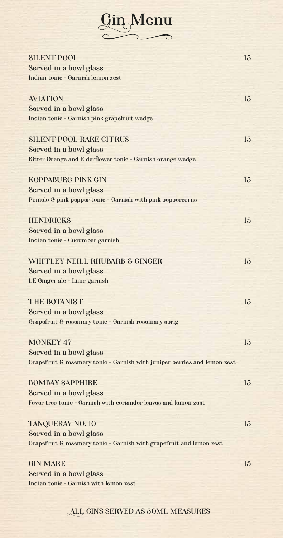

| <b>SILENT POOL</b>                                                        | 15               |
|---------------------------------------------------------------------------|------------------|
| Served in a bowl glass                                                    |                  |
| Indian tonic - Garnish lemon zest                                         |                  |
|                                                                           |                  |
| <b>AVIATION</b>                                                           | 15               |
| Served in a bowl glass                                                    |                  |
| Indian tonic - Garnish pink grapefruit wedge                              |                  |
|                                                                           |                  |
| <b>SILENT POOL RARE CITRUS</b>                                            | 15               |
| Served in a bowl glass                                                    |                  |
| Bitter Orange and Elderflower tonic - Garnish orange wedge                |                  |
|                                                                           |                  |
| <b>KOPPABURG PINK GIN</b>                                                 | 15               |
| Served in a bowl glass                                                    |                  |
| Pomelo & pink pepper tonic - Garnish with pink peppercorns                |                  |
|                                                                           |                  |
| <b>HENDRICKS</b>                                                          | 15               |
| Served in a bowl glass                                                    |                  |
| Indian tonic - Cucumber garnish                                           |                  |
|                                                                           |                  |
| <b>WHITLEY NEILL RHUBARB &amp; GINGER</b>                                 | 15               |
| Served in a bowl glass                                                    |                  |
| LE Ginger ale - Lime garnish                                              |                  |
|                                                                           |                  |
| <b>THE BOTANIST</b>                                                       | 15               |
| Served in a bowl glass                                                    |                  |
| Grapefruit & rosemary tonic - Garnish rosemary sprig                      |                  |
|                                                                           |                  |
| <b>MONKEY 47</b>                                                          | 15               |
| Served in a bowl glass                                                    |                  |
| Grapefruit & rosemary tonic - Garnish with juniper berries and lemon zest |                  |
|                                                                           |                  |
| <b>BOMBAY SAPPHIRE</b>                                                    | $15\overline{)}$ |
| Served in a bowl glass                                                    |                  |
| Fever tree tonic - Garnish with coriander leaves and lemon zest           |                  |
|                                                                           |                  |
| <b>TANQUERAY NO. 10</b>                                                   | 15 <sup>5</sup>  |
| Served in a bowl glass                                                    |                  |
| Grapefruit & rosemary tonic - Garnish with grapefruit and lemon zest      |                  |
|                                                                           |                  |
| <b>GIN MARE</b>                                                           | 15               |
| Served in a bowl glass                                                    |                  |

#### ALL GINS SERVED AS 50ML MEASURES

Indian tonic - Garnish with lemon zest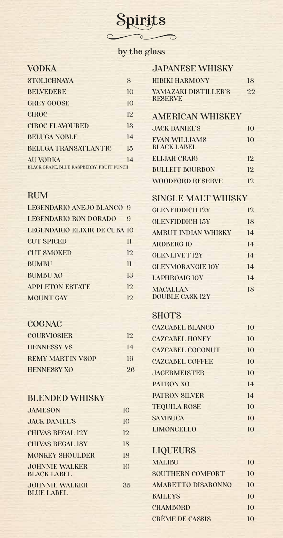# **Spirits**

#### by the glass

#### VODKA

| <b>STOLICHNAYA</b>                              | 8  |
|-------------------------------------------------|----|
| <b>BELVEDERE</b>                                | 10 |
| <b>GREY GOOSE</b>                               | 10 |
| <b>CIROC</b>                                    | 12 |
| <b>CIROC FLAVOURED</b>                          | 13 |
| <b>BELUGA NOBLE</b>                             | 14 |
| <b>BELUGA TRANSATLANTIC</b>                     | 15 |
| <b>AU VODKA</b>                                 | 14 |
| <b>BLACK GRAPE, BLUE RASPBERRY, FRUIT PUNCH</b> |    |

#### RUM

| LEGENDARIO ANEJO BLANCO 9           |                 |
|-------------------------------------|-----------------|
| <b>LEGENDARIO RON DORADO</b>        | $\Omega$        |
| <b>LEGENDARIO ELIXIR DE CUBA 10</b> |                 |
| <b>CUT SPICED</b>                   | 11              |
| <b>CUT SMOKED</b>                   | 12              |
| <b>BUMBU</b>                        | $\overline{11}$ |
| <b>BUMBU XO</b>                     | 13              |
| <b>APPLETON ESTATE</b>              | 12              |
| <b>MOUNT GAY</b>                    | 12              |
|                                     |                 |

#### **COGNAC**

| COURVIOSIER             | 19. |
|-------------------------|-----|
| <b>HENNESSY VS</b>      | 14  |
| <b>REMY MARTIN VSOP</b> | 16  |
| <b>HENNESSY XO</b>      | 26  |

#### BLENDED WHISKY

| JAMESON                                     | $\mathbf{I}(\mathbf{I})$ |
|---------------------------------------------|--------------------------|
| <b>JACK DANIEL'S</b>                        | 10                       |
| <b>CHIVAS REGAL 12Y</b>                     | 12                       |
| <b>CHIVAS REGAL 18Y</b>                     | 18                       |
| <b>MONKEY SHOULDER</b>                      | 18                       |
| <b>JOHNNIE WALKER</b><br><b>BLACK LABEL</b> | 10 <sup>1</sup>          |
| <b>JOHNNIE WALKER</b><br><b>BLUE LABEL</b>  | 35                       |

| <b>JAPANESE WHISKY</b>                 |    |
|----------------------------------------|----|
| <b>HIBIKI HARMONY</b>                  | 18 |
| YAMAZAKI DISTILLER'S<br><b>RESERVE</b> | 22 |
| <b>AMERICAN WHISKEY</b>                |    |

#### AMERICAN WHISKEY

| <b>JACK DANIEL'S</b>                       | 10  |
|--------------------------------------------|-----|
| <b>EVAN WILLIAMS</b><br><b>BLACK LABEL</b> | 10  |
| <b>ELIJAH CRAIG</b>                        | 12  |
| <b>BULLEIT BOURBON</b>                     | 19. |
| <b>WOODFORD RESERVE</b>                    | 12  |

#### SINGLE MALT WHISKY

| <b>GLENFIDDICH 12Y</b>                    | 12 |
|-------------------------------------------|----|
| <b>GLENFIDDICH 15Y</b>                    | 18 |
| <b>AMRUT INDIAN WHISKY</b>                | 14 |
| <b>ARDBERG10</b>                          | 14 |
| <b>GLENLIVET 12Y</b>                      | 14 |
| <b>GLENMORANGIE 10Y</b>                   | 14 |
| <b>LAPHROAIG 10Y</b>                      | 14 |
| <b>MACALLAN</b><br><b>DOUBLE CASK 12Y</b> | 18 |

#### **SHOTS**

| <b>CAZCABEL BLANCO</b>  | 10 |
|-------------------------|----|
| <b>CAZCABEL HONEY</b>   | 10 |
| <b>CAZCABEL COCONUT</b> | 10 |
| <b>CAZCABEL COFFEE</b>  | 10 |
| <b>JAGERMEISTER</b>     | 10 |
| <b>PATRON XO</b>        | 14 |
| <b>PATRON SILVER</b>    | 14 |
| <b>TEQUILA ROSE</b>     | 10 |
| <b>SAMBUCA</b>          | 10 |
| <b>LIMONCELLO</b>       | 10 |
|                         |    |

#### LIQUEURS

| <b>MALIBU</b>             | 10 |
|---------------------------|----|
| <b>SOUTHERN COMFORT</b>   | 10 |
| <b>AMARETTO DISARONNO</b> | 10 |
| <b>BAILEYS</b>            | 10 |
| <b>CHAMBORD</b>           | 10 |
| <b>CRÈME DE CASSIS</b>    | 10 |